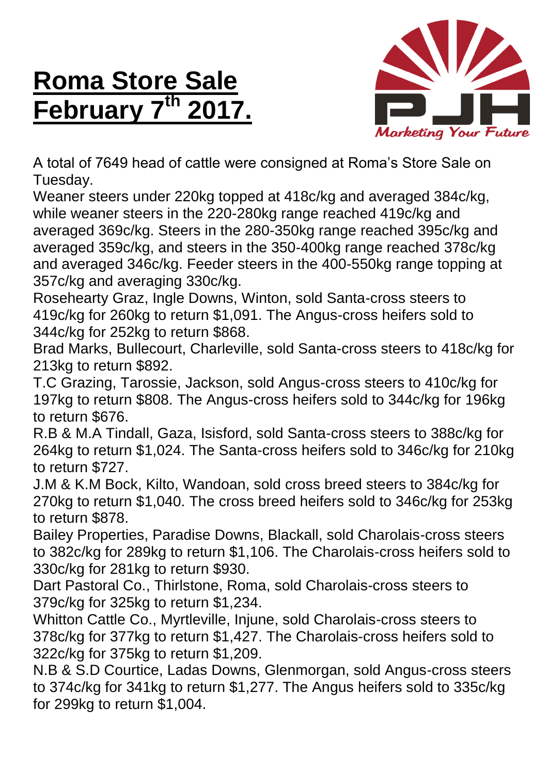## **Roma Store Sale February 7 th 2017.**



A total of 7649 head of cattle were consigned at Roma's Store Sale on Tuesday.

Weaner steers under 220kg topped at 418c/kg and averaged 384c/kg, while weaner steers in the 220-280kg range reached 419c/kg and averaged 369c/kg. Steers in the 280-350kg range reached 395c/kg and averaged 359c/kg, and steers in the 350-400kg range reached 378c/kg and averaged 346c/kg. Feeder steers in the 400-550kg range topping at 357c/kg and averaging 330c/kg.

Rosehearty Graz, Ingle Downs, Winton, sold Santa-cross steers to 419c/kg for 260kg to return \$1,091. The Angus-cross heifers sold to 344c/kg for 252kg to return \$868.

Brad Marks, Bullecourt, Charleville, sold Santa-cross steers to 418c/kg for 213kg to return \$892.

T.C Grazing, Tarossie, Jackson, sold Angus-cross steers to 410c/kg for 197kg to return \$808. The Angus-cross heifers sold to 344c/kg for 196kg to return \$676.

R.B & M.A Tindall, Gaza, Isisford, sold Santa-cross steers to 388c/kg for 264kg to return \$1,024. The Santa-cross heifers sold to 346c/kg for 210kg to return \$727.

J.M & K.M Bock, Kilto, Wandoan, sold cross breed steers to 384c/kg for 270kg to return \$1,040. The cross breed heifers sold to 346c/kg for 253kg to return \$878.

Bailey Properties, Paradise Downs, Blackall, sold Charolais-cross steers to 382c/kg for 289kg to return \$1,106. The Charolais-cross heifers sold to 330c/kg for 281kg to return \$930.

Dart Pastoral Co., Thirlstone, Roma, sold Charolais-cross steers to 379c/kg for 325kg to return \$1,234.

Whitton Cattle Co., Myrtleville, Injune, sold Charolais-cross steers to 378c/kg for 377kg to return \$1,427. The Charolais-cross heifers sold to 322c/kg for 375kg to return \$1,209.

N.B & S.D Courtice, Ladas Downs, Glenmorgan, sold Angus-cross steers to 374c/kg for 341kg to return \$1,277. The Angus heifers sold to 335c/kg for 299kg to return \$1,004.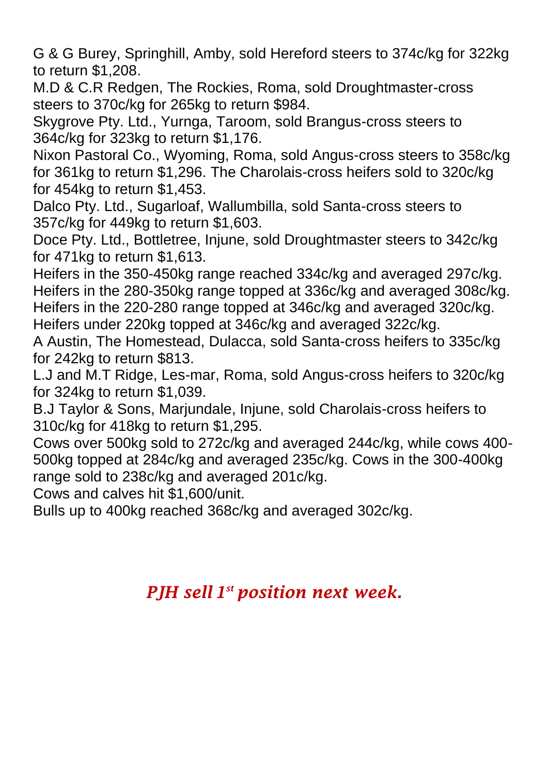G & G Burey, Springhill, Amby, sold Hereford steers to 374c/kg for 322kg to return \$1,208.

M.D & C.R Redgen, The Rockies, Roma, sold Droughtmaster-cross steers to 370c/kg for 265kg to return \$984.

Skygrove Pty. Ltd., Yurnga, Taroom, sold Brangus-cross steers to 364c/kg for 323kg to return \$1,176.

Nixon Pastoral Co., Wyoming, Roma, sold Angus-cross steers to 358c/kg for 361kg to return \$1,296. The Charolais-cross heifers sold to 320c/kg for 454kg to return \$1,453.

Dalco Pty. Ltd., Sugarloaf, Wallumbilla, sold Santa-cross steers to 357c/kg for 449kg to return \$1,603.

Doce Pty. Ltd., Bottletree, Injune, sold Droughtmaster steers to 342c/kg for 471kg to return \$1,613.

Heifers in the 350-450kg range reached 334c/kg and averaged 297c/kg. Heifers in the 280-350kg range topped at 336c/kg and averaged 308c/kg. Heifers in the 220-280 range topped at 346c/kg and averaged 320c/kg. Heifers under 220kg topped at 346c/kg and averaged 322c/kg.

A Austin, The Homestead, Dulacca, sold Santa-cross heifers to 335c/kg for 242kg to return \$813.

L.J and M.T Ridge, Les-mar, Roma, sold Angus-cross heifers to 320c/kg for 324kg to return \$1,039.

B.J Taylor & Sons, Marjundale, Injune, sold Charolais-cross heifers to 310c/kg for 418kg to return \$1,295.

Cows over 500kg sold to 272c/kg and averaged 244c/kg, while cows 400- 500kg topped at 284c/kg and averaged 235c/kg. Cows in the 300-400kg range sold to 238c/kg and averaged 201c/kg.

Cows and calves hit \$1,600/unit.

Bulls up to 400kg reached 368c/kg and averaged 302c/kg.

## *PJH sell 1 st position next week.*